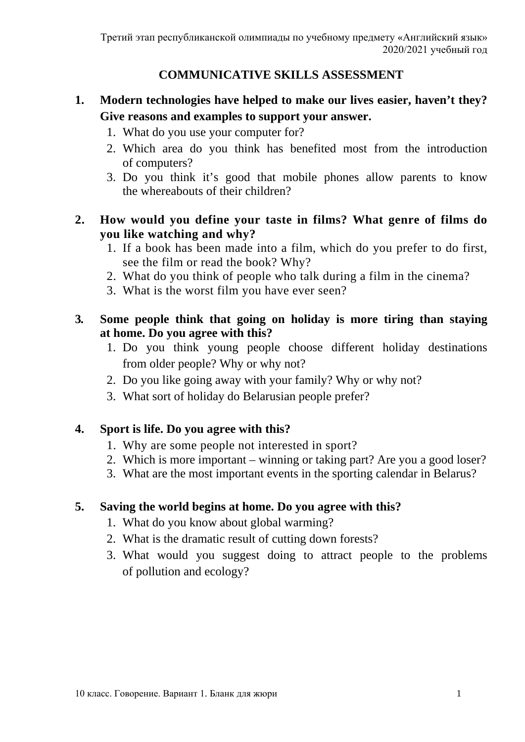### **COMMUNICATIVE SKILLS ASSESSMENT**

# **1. Modern technologies have helped to make our lives easier, haven't they? Give reasons and examples to support your answer.**

- 1. What do you use your computer for?
- 2. Which area do you think has benefited most from the introduction of computers?
- 3. Do you think it's good that mobile phones allow parents to know the whereabouts of their children?

#### **2. How would you define your taste in films? What genre of films do you like watching and why?**

- 1. If a book has been made into a film, which do you prefer to do first, see the film or read the book? Why?
- 2. What do you think of people who talk during a film in the cinema?
- 3. What is the worst film you have ever seen?

### **3. Some people think that going on holiday is more tiring than staying at home. Do you agree with this?**

- 1. Do you think young people choose different holiday destinations from older people? Why or why not?
- 2. Do you like going away with your family? Why or why not?
- 3. What sort of holiday do Belarusian people prefer?

### **4. Sport is life. Do you agree with this?**

- 1. Why are some people not interested in sport?
- 2. Which is more important winning or taking part? Are you a good loser?
- 3. What are the most important events in the sporting calendar in Belarus?

#### **5. Saving the world begins at home. Do you agree with this?**

- 1. What do you know about global warming?
- 2. What is the dramatic result of cutting down forests?
- 3. What would you suggest doing to attract people to the problems of pollution and ecology?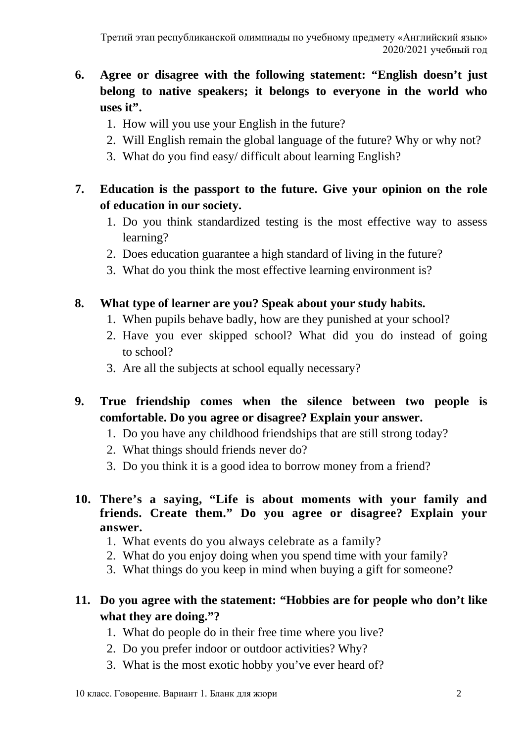# **6. Agree or disagree with the following statement: "English doesn't just belong to native speakers; it belongs to everyone in the world who uses it".**

- 1. How will you use your English in the future?
- 2. Will English remain the global language of the future? Why or why not?
- 3. What do you find easy/ difficult about learning English?

# **7. Education is the passport to the future. Give your opinion on the role of education in our society.**

- 1. Do you think standardized testing is the most effective way to assess learning?
- 2. Does education guarantee a high standard of living in the future?
- 3. What do you think the most effective learning environment is?

# **8. What type of learner are you? Speak about your study habits.**

- 1. When pupils behave badly, how are they punished at your school?
- 2. Have you ever skipped school? What did you do instead of going to school?
- 3. Are all the subjects at school equally necessary?
- **9. True friendship comes when the silence between two people is comfortable. Do you agree or disagree? Explain your answer.**
	- 1. Do you have any childhood friendships that are still strong today?
	- 2. What things should friends never do?
	- 3. Do you think it is a good idea to borrow money from a friend?
- **10. There's a saying, "Life is about moments with your family and friends. Create them." Do you agree or disagree? Explain your answer.**
	- 1. What events do you always celebrate as a family?
	- 2. What do you enjoy doing when you spend time with your family?
	- 3. What things do you keep in mind when buying a gift for someone?

# **11. Do you agree with the statement: "Hobbies are for people who don't like what they are doing."?**

- 1. What do people do in their free time where you live?
- 2. Do you prefer indoor or outdoor activities? Why?
- 3. What is the most exotic hobby you've ever heard of?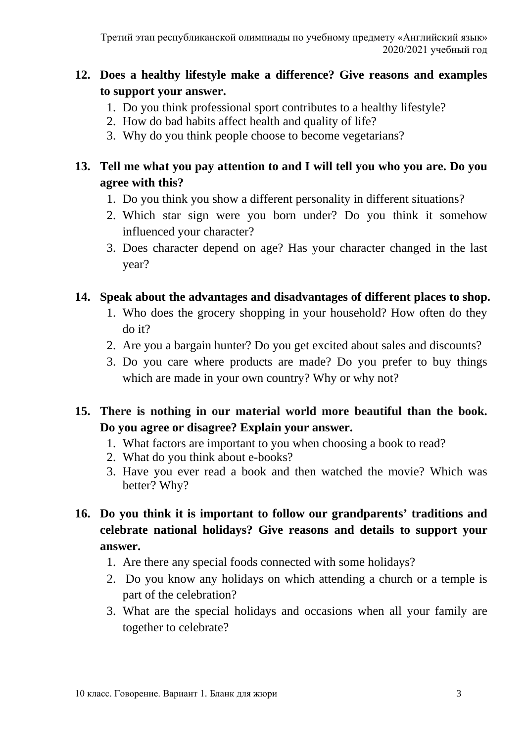# **12. Does a healthy lifestyle make a difference? Give reasons and examples to support your answer.**

- 1. Do you think professional sport contributes to a healthy lifestyle?
- 2. How do bad habits affect health and quality of life?
- 3. Why do you think people choose to become vegetarians?

# **13. Tell me what you pay attention to and I will tell you who you are. Do you agree with this?**

- 1. Do you think you show a different personality in different situations?
- 2. Which star sign were you born under? Do you think it somehow influenced your character?
- 3. Does character depend on age? Has your character changed in the last year?

### **14. Speak about the advantages and disadvantages of different places to shop.**

- 1. Who does the grocery shopping in your household? How often do they do it?
- 2. Are you a bargain hunter? Do you get excited about sales and discounts?
- 3. Do you care where products are made? Do you prefer to buy things which are made in your own country? Why or why not?

# **15. There is nothing in our material world more beautiful than the book. Do you agree or disagree? Explain your answer.**

- 1. What factors are important to you when choosing a book to read?
- 2. What do you think about e-books?
- 3. Have you ever read a book and then watched the movie? Which was better? Why?
- **16. Do you think it is important to follow our grandparents' traditions and celebrate national holidays? Give reasons and details to support your answer.**
	- 1. Are there any special foods connected with some holidays?
	- 2. Do you know any holidays on which attending a church or a temple is part of the celebration?
	- 3. What are the special holidays and occasions when all your family are together to celebrate?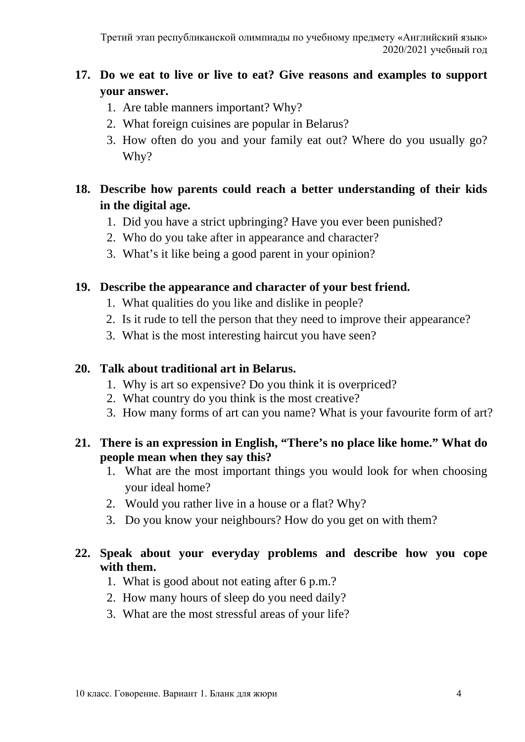# **17. Do we eat to live or live to eat? Give reasons and examples to support your answer.**

- 1. Are table manners important? Why?
- 2. What foreign cuisines are popular in Belarus?
- 3. How often do you and your family eat out? Where do you usually go? Why?

# **18. Describe how parents could reach a better understanding of their kids in the digital age.**

- 1. Did you have a strict upbringing? Have you ever been punished?
- 2. Who do you take after in appearance and character?
- 3. What's it like being a good parent in your opinion?

### **19. Describe the appearance and character of your best friend.**

- 1. What qualities do you like and dislike in people?
- 2. Is it rude to tell the person that they need to improve their appearance?
- 3. What is the most interesting haircut you have seen?

### **20. Talk about traditional art in Belarus.**

- 1. Why is art so expensive? Do you think it is overpriced?
- 2. What country do you think is the most creative?
- 3. How many forms of art can you name? What is your favourite form of art?

### **21. There is an expression in English, "There's no place like home." What do people mean when they say this?**

- 1. What are the most important things you would look for when choosing your ideal home?
- 2. Would you rather live in a house or a flat? Why?
- 3. Do you know your neighbours? How do you get on with them?

### **22. Speak about your everyday problems and describe how you cope with them.**

- 1. What is good about not eating after 6 p.m.?
- 2. How many hours of sleep do you need daily?
- 3. What are the most stressful areas of your life?